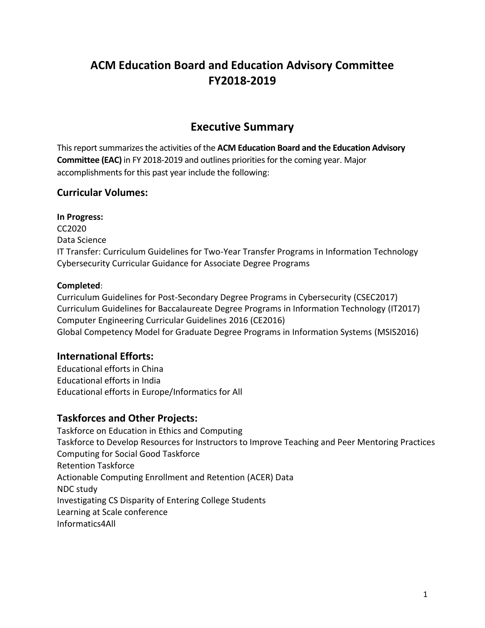# **ACM Education Board and Education Advisory Committee FY2018-2019**

# **Executive Summary**

This report summarizes the activities of the **ACM Education Board and the Education Advisory Committee (EAC)** in FY 2018-2019 and outlines priorities for the coming year. Major accomplishments for this past year include the following:

## **Curricular Volumes:**

**In Progress:** CC2020 Data Science IT Transfer: Curriculum Guidelines for Two-Year Transfer Programs in Information Technology Cybersecurity Curricular Guidance for Associate Degree Programs

### **Completed**:

Curriculum Guidelines for Post-Secondary Degree Programs in Cybersecurity (CSEC2017) Curriculum Guidelines for Baccalaureate Degree Programs in Information Technology (IT2017) Computer Engineering Curricular Guidelines 2016 (CE2016) Global Competency Model for Graduate Degree Programs in Information Systems (MSIS2016)

## **International Efforts:**

Educational efforts in China Educational efforts in India Educational efforts in Europe/Informatics for All

## **Taskforces and Other Projects:**

Taskforce on Education in Ethics and Computing Taskforce to Develop Resources for Instructors to Improve Teaching and Peer Mentoring Practices Computing for Social Good Taskforce Retention Taskforce Actionable Computing Enrollment and Retention (ACER) Data NDC study Investigating CS Disparity of Entering College Students Learning at Scale conference Informatics4All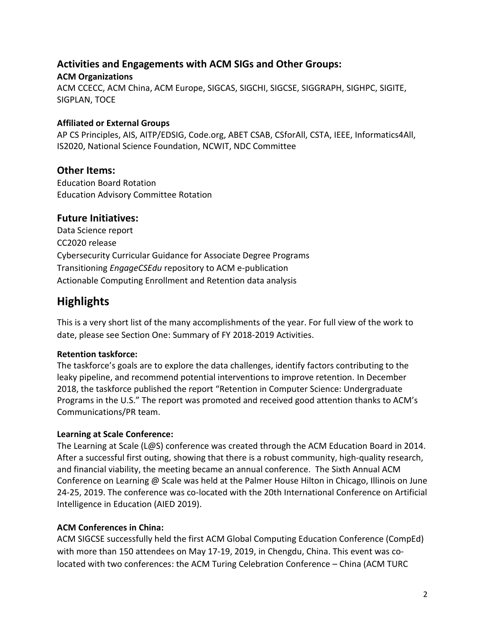## **Activities and Engagements with ACM SIGs and Other Groups:**

#### **ACM Organizations**

ACM CCECC, ACM China, ACM Europe, SIGCAS, SIGCHI, SIGCSE, SIGGRAPH, SIGHPC, SIGITE, SIGPLAN, TOCE

### **Affiliated or External Groups**

AP CS Principles, AIS, AITP/EDSIG, Code.org, ABET CSAB, CSforAll, CSTA, IEEE, Informatics4All, IS2020, National Science Foundation, NCWIT, NDC Committee

### **Other Items:**

Education Board Rotation Education Advisory Committee Rotation

### **Future Initiatives:**

Data Science report CC2020 release Cybersecurity Curricular Guidance for Associate Degree Programs Transitioning *EngageCSEdu* repository to ACM e-publication Actionable Computing Enrollment and Retention data analysis

# **Highlights**

This is a very short list of the many accomplishments of the year. For full view of the work to date, please see Section One: Summary of FY 2018-2019 Activities.

### **Retention taskforce:**

The taskforce's goals are to explore the data challenges, identify factors contributing to the leaky pipeline, and recommend potential interventions to improve retention. In December 2018, the taskforce published the report "Retention in Computer Science: Undergraduate Programs in the U.S." The report was promoted and received good attention thanks to ACM's Communications/PR team.

### **Learning at Scale Conference:**

The Learning at Scale (L@S) conference was created through the ACM Education Board in 2014. After a successful first outing, showing that there is a robust community, high-quality research, and financial viability, the meeting became an annual conference. The Sixth Annual ACM Conference on Learning @ Scale was held at the Palmer House Hilton in Chicago, Illinois on June 24-25, 2019. The conference was co-located with the 20th International Conference on Artificial Intelligence in Education (AIED 2019).

### **ACM Conferences in China:**

ACM SIGCSE successfully held the first ACM Global Computing Education Conference (CompEd) with more than 150 attendees on May 17-19, 2019, in Chengdu, China. This event was colocated with two conferences: the ACM Turing Celebration Conference – China (ACM TURC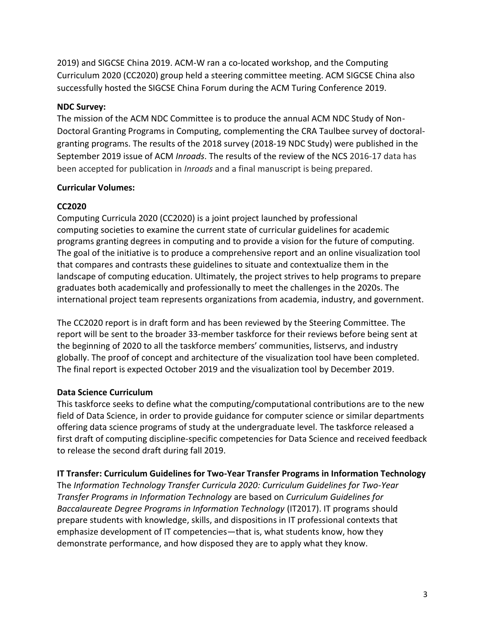2019) and SIGCSE China 2019. ACM-W ran a co-located workshop, and the Computing Curriculum 2020 (CC2020) group held a steering committee meeting. ACM SIGCSE China also successfully hosted the SIGCSE China Forum during the ACM Turing Conference 2019.

#### **NDC Survey:**

The mission of the ACM NDC Committee is to produce the annual ACM NDC Study of Non-Doctoral Granting Programs in Computing, complementing the CRA Taulbee survey of doctoralgranting programs. The results of the 2018 survey (2018-19 NDC Study) were published in the September 2019 issue of ACM *Inroads*. The results of the review of the NCS 2016-17 data has been accepted for publication in *Inroads* and a final manuscript is being prepared.

### **Curricular Volumes:**

### **CC2020**

Computing Curricula 2020 (CC2020) is a joint project launched by professional computing societies to examine the current state of curricular guidelines for academic programs granting degrees in computing and to provide a vision for the future of computing. The goal of the initiative is to produce a comprehensive report and an online visualization tool that compares and contrasts these guidelines to situate and contextualize them in the landscape of computing education. Ultimately, the project strives to help programs to prepare graduates both academically and professionally to meet the challenges in the 2020s. The international project team represents organizations from academia, industry, and government.

The CC2020 report is in draft form and has been reviewed by the Steering Committee. The report will be sent to the broader 33-member taskforce for their reviews before being sent at the beginning of 2020 to all the taskforce members' communities, listservs, and industry globally. The proof of concept and architecture of the visualization tool have been completed. The final report is expected October 2019 and the visualization tool by December 2019.

### **Data Science Curriculum**

This taskforce seeks to define what the computing/computational contributions are to the new field of Data Science, in order to provide guidance for computer science or similar departments offering data science programs of study at the undergraduate level. The taskforce released a first draft of computing discipline-specific competencies for Data Science and received feedback to release the second draft during fall 2019.

#### **IT Transfer: Curriculum Guidelines for Two-Year Transfer Programs in Information Technology**

The *Information Technology Transfer Curricula 2020: Curriculum Guidelines for Two-Year Transfer Programs in Information Technology* are based on *Curriculum Guidelines for Baccalaureate Degree Programs in Information Technology* (IT2017). IT programs should prepare students with knowledge, skills, and dispositions in IT professional contexts that emphasize development of IT competencies—that is, what students know, how they demonstrate performance, and how disposed they are to apply what they know.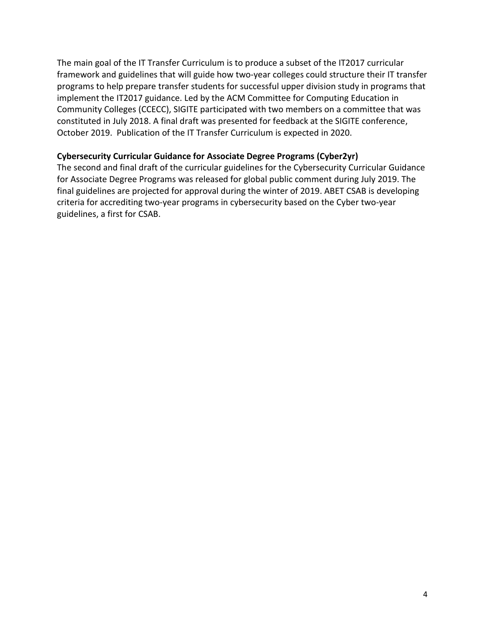The main goal of the IT Transfer Curriculum is to produce a subset of the IT2017 curricular framework and guidelines that will guide how two-year colleges could structure their IT transfer programs to help prepare transfer students for successful upper division study in programs that implement the IT2017 guidance. Led by the ACM Committee for Computing Education in Community Colleges (CCECC), SIGITE participated with two members on a committee that was constituted in July 2018. A final draft was presented for feedback at the SIGITE conference, October 2019. Publication of the IT Transfer Curriculum is expected in 2020.

#### **Cybersecurity Curricular Guidance for Associate Degree Programs (Cyber2yr)**

The second and final draft of the curricular guidelines for the Cybersecurity Curricular Guidance for Associate Degree Programs was released for global public comment during July 2019. The final guidelines are projected for approval during the winter of 2019. ABET CSAB is developing criteria for accrediting two-year programs in cybersecurity based on the Cyber two-year guidelines, a first for CSAB.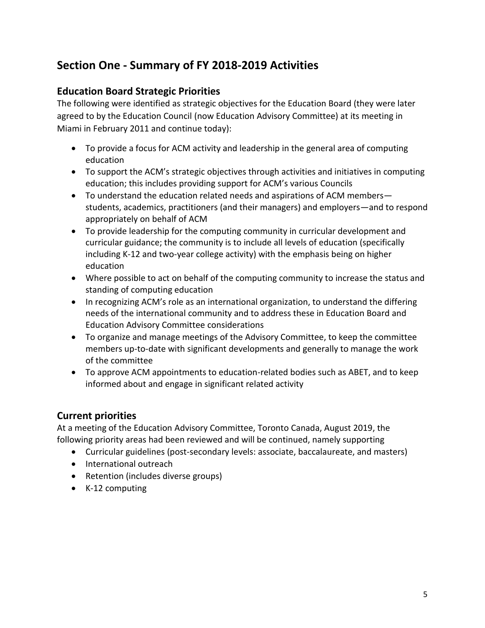# **Section One - Summary of FY 2018-2019 Activities**

### **Education Board Strategic Priorities**

The following were identified as strategic objectives for the Education Board (they were later agreed to by the Education Council (now Education Advisory Committee) at its meeting in Miami in February 2011 and continue today):

- To provide a focus for ACM activity and leadership in the general area of computing education
- To support the ACM's strategic objectives through activities and initiatives in computing education; this includes providing support for ACM's various Councils
- To understand the education related needs and aspirations of ACM members students, academics, practitioners (and their managers) and employers—and to respond appropriately on behalf of ACM
- To provide leadership for the computing community in curricular development and curricular guidance; the community is to include all levels of education (specifically including K-12 and two-year college activity) with the emphasis being on higher education
- Where possible to act on behalf of the computing community to increase the status and standing of computing education
- In recognizing ACM's role as an international organization, to understand the differing needs of the international community and to address these in Education Board and Education Advisory Committee considerations
- To organize and manage meetings of the Advisory Committee, to keep the committee members up-to-date with significant developments and generally to manage the work of the committee
- To approve ACM appointments to education-related bodies such as ABET, and to keep informed about and engage in significant related activity

## **Current priorities**

At a meeting of the Education Advisory Committee, Toronto Canada, August 2019, the following priority areas had been reviewed and will be continued, namely supporting

- Curricular guidelines (post-secondary levels: associate, baccalaureate, and masters)
- International outreach
- Retention (includes diverse groups)
- K-12 computing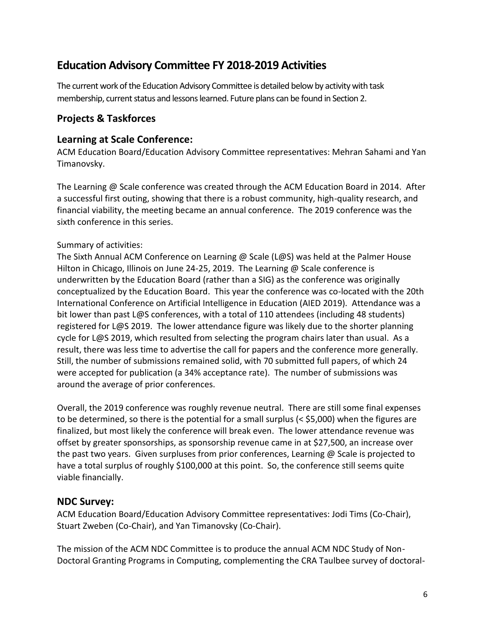# **Education Advisory Committee FY 2018-2019 Activities**

The current work of the Education Advisory Committee is detailed below by activity with task membership, current status and lessons learned. Future plans can be found in Section 2.

## **Projects & Taskforces**

### **Learning at Scale Conference:**

ACM Education Board/Education Advisory Committee representatives: Mehran Sahami and Yan Timanovsky.

The Learning @ Scale conference was created through the ACM Education Board in 2014. After a successful first outing, showing that there is a robust community, high-quality research, and financial viability, the meeting became an annual conference. The 2019 conference was the sixth conference in this series.

### Summary of activities:

The Sixth Annual ACM Conference on Learning @ Scale (L@S) was held at the Palmer House Hilton in Chicago, Illinois on June 24-25, 2019. The Learning @ Scale conference is underwritten by the Education Board (rather than a SIG) as the conference was originally conceptualized by the Education Board. This year the conference was co-located with the 20th International Conference on Artificial Intelligence in Education (AIED 2019). Attendance was a bit lower than past L@S conferences, with a total of 110 attendees (including 48 students) registered for L@S 2019. The lower attendance figure was likely due to the shorter planning cycle for L@S 2019, which resulted from selecting the program chairs later than usual. As a result, there was less time to advertise the call for papers and the conference more generally. Still, the number of submissions remained solid, with 70 submitted full papers, of which 24 were accepted for publication (a 34% acceptance rate). The number of submissions was around the average of prior conferences.

Overall, the 2019 conference was roughly revenue neutral. There are still some final expenses to be determined, so there is the potential for a small surplus (< \$5,000) when the figures are finalized, but most likely the conference will break even. The lower attendance revenue was offset by greater sponsorships, as sponsorship revenue came in at \$27,500, an increase over the past two years. Given surpluses from prior conferences, Learning @ Scale is projected to have a total surplus of roughly \$100,000 at this point. So, the conference still seems quite viable financially.

### **NDC Survey:**

ACM Education Board/Education Advisory Committee representatives: Jodi Tims (Co-Chair), Stuart Zweben (Co-Chair), and Yan Timanovsky (Co-Chair).

The mission of the ACM NDC Committee is to produce the annual ACM NDC Study of Non-Doctoral Granting Programs in Computing, complementing the CRA Taulbee survey of doctoral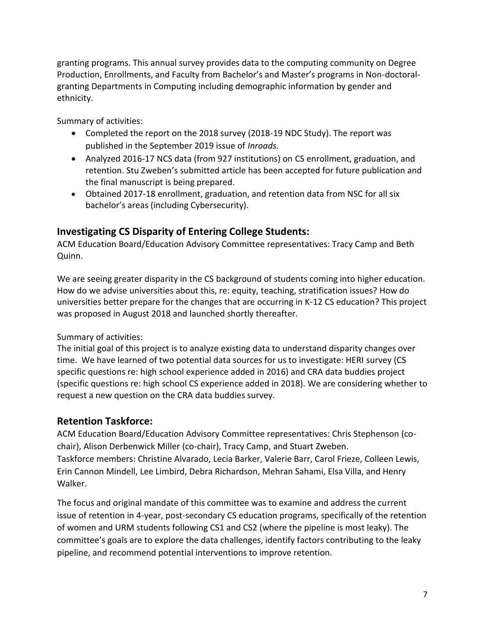granting programs. This annual survey provides data to the computing community on Degree Production, Enrollments, and Faculty from Bachelor's and Master's programs in Non-doctoralgranting Departments in Computing including demographic information by gender and ethnicity.

Summary of activities:

- Completed the report on the 2018 survey (2018-19 NDC Study). The report was published in the September 2019 issue of *Inroads.*
- Analyzed 2016-17 NCS data (from 927 institutions) on CS enrollment, graduation, and retention. Stu Zweben's submitted article has been accepted for future publication and the final manuscript is being prepared.
- Obtained 2017-18 enrollment, graduation, and retention data from NSC for all six bachelor's areas (including Cybersecurity).

## **Investigating CS Disparity of Entering College Students:**

ACM Education Board/Education Advisory Committee representatives: Tracy Camp and Beth Quinn.

We are seeing greater disparity in the CS background of students coming into higher education. How do we advise universities about this, re: equity, teaching, stratification issues? How do universities better prepare for the changes that are occurring in K-12 CS education? This project was proposed in August 2018 and launched shortly thereafter.

Summary of activities:

The initial goal of this project is to analyze existing data to understand disparity changes over time. We have learned of two potential data sources for us to investigate: HERI survey (CS specific questions re: high school experience added in 2016) and CRA data buddies project (specific questions re: high school CS experience added in 2018). We are considering whether to request a new question on the CRA data buddies survey.

### **Retention Taskforce:**

ACM Education Board/Education Advisory Committee representatives: Chris Stephenson (cochair), Alison Derbenwick Miller (co-chair), Tracy Camp, and Stuart Zweben. Taskforce members: Christine Alvarado, Lecia Barker, Valerie Barr, Carol Frieze, Colleen Lewis, Erin Cannon Mindell, Lee Limbird, Debra Richardson, Mehran Sahami, Elsa Villa, and Henry Walker.

The focus and original mandate of this committee was to examine and address the current issue of retention in 4-year, post-secondary CS education programs, specifically of the retention of women and URM students following CS1 and CS2 (where the pipeline is most leaky). The committee's goals are to explore the data challenges, identify factors contributing to the leaky pipeline, and recommend potential interventions to improve retention.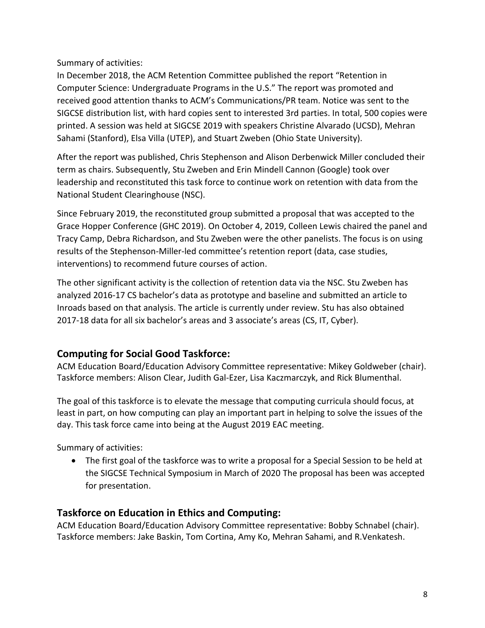Summary of activities:

In December 2018, the ACM Retention Committee published the report "Retention in Computer Science: Undergraduate Programs in the U.S." The report was promoted and received good attention thanks to ACM's Communications/PR team. Notice was sent to the SIGCSE distribution list, with hard copies sent to interested 3rd parties. In total, 500 copies were printed. A session was held at SIGCSE 2019 with speakers Christine Alvarado (UCSD), Mehran Sahami (Stanford), Elsa Villa (UTEP), and Stuart Zweben (Ohio State University).

After the report was published, Chris Stephenson and Alison Derbenwick Miller concluded their term as chairs. Subsequently, Stu Zweben and Erin Mindell Cannon (Google) took over leadership and reconstituted this task force to continue work on retention with data from the National Student Clearinghouse (NSC).

Since February 2019, the reconstituted group submitted a proposal that was accepted to the Grace Hopper Conference (GHC 2019). On October 4, 2019, Colleen Lewis chaired the panel and Tracy Camp, Debra Richardson, and Stu Zweben were the other panelists. The focus is on using results of the Stephenson-Miller-led committee's retention report (data, case studies, interventions) to recommend future courses of action.

The other significant activity is the collection of retention data via the NSC. Stu Zweben has analyzed 2016-17 CS bachelor's data as prototype and baseline and submitted an article to Inroads based on that analysis. The article is currently under review. Stu has also obtained 2017-18 data for all six bachelor's areas and 3 associate's areas (CS, IT, Cyber).

## **Computing for Social Good Taskforce:**

ACM Education Board/Education Advisory Committee representative: Mikey Goldweber (chair). Taskforce members: Alison Clear, Judith Gal-Ezer, Lisa Kaczmarczyk, and Rick Blumenthal.

The goal of this taskforce is to elevate the message that computing curricula should focus, at least in part, on how computing can play an important part in helping to solve the issues of the day. This task force came into being at the August 2019 EAC meeting.

Summary of activities:

 The first goal of the taskforce was to write a proposal for a Special Session to be held at the SIGCSE Technical Symposium in March of 2020 The proposal has been was accepted for presentation.

## **Taskforce on Education in Ethics and Computing:**

ACM Education Board/Education Advisory Committee representative: Bobby Schnabel (chair). Taskforce members: Jake Baskin, Tom Cortina, Amy Ko, Mehran Sahami, and R.Venkatesh.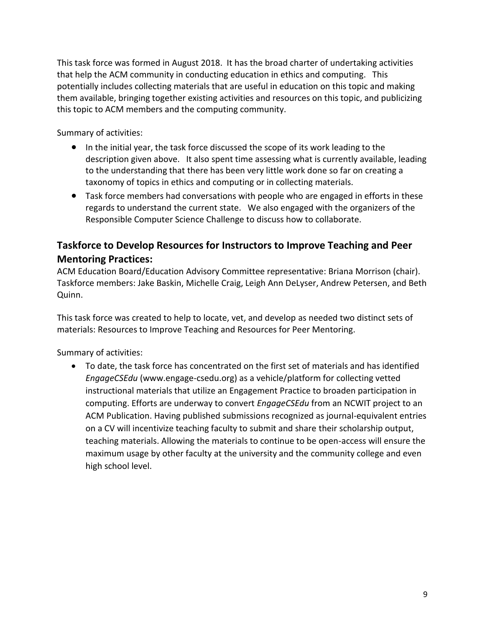This task force was formed in August 2018. It has the broad charter of undertaking activities that help the ACM community in conducting education in ethics and computing. This potentially includes collecting materials that are useful in education on this topic and making them available, bringing together existing activities and resources on this topic, and publicizing this topic to ACM members and the computing community.

Summary of activities:

- In the initial year, the task force discussed the scope of its work leading to the description given above. It also spent time assessing what is currently available, leading to the understanding that there has been very little work done so far on creating a taxonomy of topics in ethics and computing or in collecting materials.
- Task force members had conversations with people who are engaged in efforts in these regards to understand the current state. We also engaged with the organizers of the Responsible Computer Science Challenge to discuss how to collaborate.

## **Taskforce to Develop Resources for Instructors to Improve Teaching and Peer Mentoring Practices:**

ACM Education Board/Education Advisory Committee representative: Briana Morrison (chair). Taskforce members: Jake Baskin, Michelle Craig, Leigh Ann DeLyser, Andrew Petersen, and Beth Quinn.

This task force was created to help to locate, vet, and develop as needed two distinct sets of materials: Resources to Improve Teaching and Resources for Peer Mentoring.

Summary of activities:

 To date, the task force has concentrated on the first set of materials and has identified *EngageCSEdu* (www.engage-csedu.org) as a vehicle/platform for collecting vetted instructional materials that utilize an Engagement Practice to broaden participation in computing. Efforts are underway to convert *EngageCSEdu* from an NCWIT project to an ACM Publication. Having published submissions recognized as journal-equivalent entries on a CV will incentivize teaching faculty to submit and share their scholarship output, teaching materials. Allowing the materials to continue to be open-access will ensure the maximum usage by other faculty at the university and the community college and even high school level.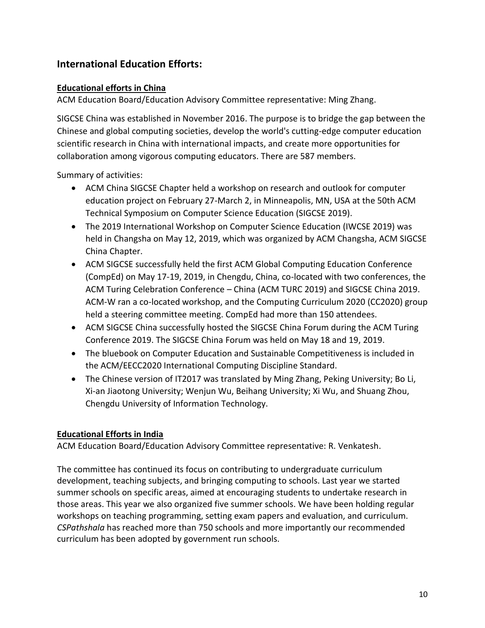## **International Education Efforts:**

#### **Educational efforts in China**

ACM Education Board/Education Advisory Committee representative: Ming Zhang.

SIGCSE China was established in November 2016. The purpose is to bridge the gap between the Chinese and global computing societies, develop the world's cutting-edge computer education scientific research in China with international impacts, and create more opportunities for collaboration among vigorous computing educators. There are 587 members.

Summary of activities:

- ACM China SIGCSE Chapter held a workshop on research and outlook for computer education project on February 27-March 2, in Minneapolis, MN, USA at the 50th ACM Technical Symposium on Computer Science Education (SIGCSE 2019).
- The 2019 International Workshop on Computer Science Education (IWCSE 2019) was held in Changsha on May 12, 2019, which was organized by ACM Changsha, ACM SIGCSE China Chapter.
- ACM SIGCSE successfully held the first ACM Global Computing Education Conference (CompEd) on May 17-19, 2019, in Chengdu, China, co-located with two conferences, the ACM Turing Celebration Conference – China (ACM TURC 2019) and SIGCSE China 2019. ACM-W ran a co-located workshop, and the Computing Curriculum 2020 (CC2020) group held a steering committee meeting. CompEd had more than 150 attendees.
- ACM SIGCSE China successfully hosted the SIGCSE China Forum during the ACM Turing Conference 2019. The SIGCSE China Forum was held on May 18 and 19, 2019.
- The bluebook on Computer Education and Sustainable Competitiveness is included in the ACM/EECC2020 International Computing Discipline Standard.
- The Chinese version of IT2017 was translated by Ming Zhang, Peking University; Bo Li, Xi-an Jiaotong University; Wenjun Wu, Beihang University; Xi Wu, and Shuang Zhou, Chengdu University of Information Technology.

#### **Educational Efforts in India**

ACM Education Board/Education Advisory Committee representative: R. Venkatesh.

The committee has continued its focus on contributing to undergraduate curriculum development, teaching subjects, and bringing computing to schools. Last year we started summer schools on specific areas, aimed at encouraging students to undertake research in those areas. This year we also organized five summer schools. We have been holding regular workshops on teaching programming, setting exam papers and evaluation, and curriculum. *CSPathshala* has reached more than 750 schools and more importantly our recommended curriculum has been adopted by government run schools.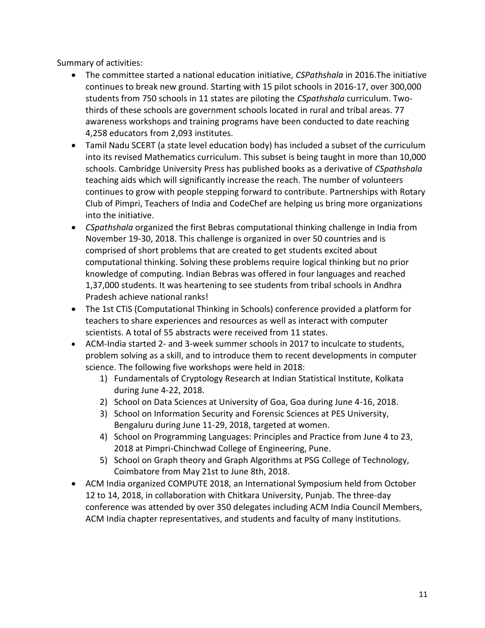Summary of activities:

- The committee started a national education initiative, *CSPathshala* in 2016.The initiative continues to break new ground. Starting with 15 pilot schools in 2016-17, over 300,000 students from 750 schools in 11 states are piloting the *CSpathshala* curriculum. Twothirds of these schools are government schools located in rural and tribal areas. 77 awareness workshops and training programs have been conducted to date reaching 4,258 educators from 2,093 institutes.
- Tamil Nadu SCERT (a state level education body) has included a subset of the curriculum into its revised Mathematics curriculum. This subset is being taught in more than 10,000 schools. Cambridge University Press has published books as a derivative of *CSpathshala* teaching aids which will significantly increase the reach. The number of volunteers continues to grow with people stepping forward to contribute. Partnerships with Rotary Club of Pimpri, Teachers of India and CodeChef are helping us bring more organizations into the initiative.
- *CSpathshala* organized the first Bebras computational thinking challenge in India from November 19-30, 2018. This challenge is organized in over 50 countries and is comprised of short problems that are created to get students excited about computational thinking. Solving these problems require logical thinking but no prior knowledge of computing. Indian Bebras was offered in four languages and reached 1,37,000 students. It was heartening to see students from tribal schools in Andhra Pradesh achieve national ranks!
- The 1st CTiS (Computational Thinking in Schools) conference provided a platform for teachers to share experiences and resources as well as interact with computer scientists. A total of 55 abstracts were received from 11 states.
- ACM-India started 2- and 3-week summer schools in 2017 to inculcate to students, problem solving as a skill, and to introduce them to recent developments in computer science. The following five workshops were held in 2018:
	- 1) Fundamentals of Cryptology Research at Indian Statistical Institute, Kolkata during June 4-22, 2018.
	- 2) School on Data Sciences at University of Goa, Goa during June 4-16, 2018.
	- 3) School on Information Security and Forensic Sciences at PES University, Bengaluru during June 11-29, 2018, targeted at women.
	- 4) School on Programming Languages: Principles and Practice from June 4 to 23, 2018 at Pimpri-Chinchwad College of Engineering, Pune.
	- 5) School on Graph theory and Graph Algorithms at PSG College of Technology, Coimbatore from May 21st to June 8th, 2018.
- ACM India organized COMPUTE 2018, an International Symposium held from October 12 to 14, 2018, in collaboration with Chitkara University, Punjab. The three-day conference was attended by over 350 delegates including ACM India Council Members, ACM India chapter representatives, and students and faculty of many institutions.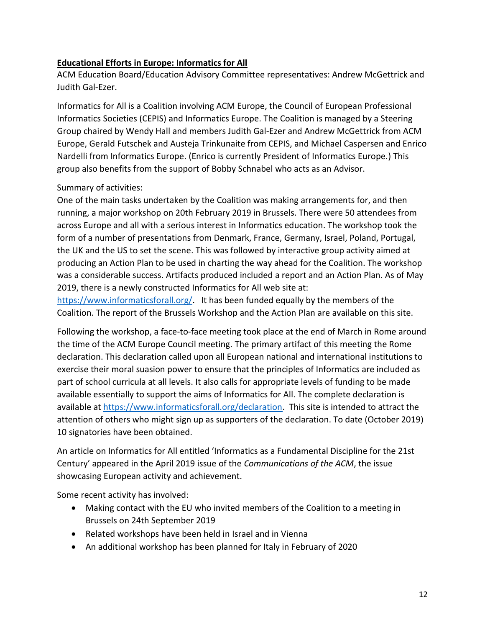### **Educational Efforts in Europe: Informatics for All**

ACM Education Board/Education Advisory Committee representatives: Andrew McGettrick and Judith Gal-Ezer.

Informatics for All is a Coalition involving ACM Europe, the Council of European Professional Informatics Societies (CEPIS) and Informatics Europe. The Coalition is managed by a Steering Group chaired by Wendy Hall and members Judith Gal-Ezer and Andrew McGettrick from ACM Europe, Gerald Futschek and Austeja Trinkunaite from CEPIS, and Michael Caspersen and Enrico Nardelli from Informatics Europe. (Enrico is currently President of Informatics Europe.) This group also benefits from the support of Bobby Schnabel who acts as an Advisor.

### Summary of activities:

One of the main tasks undertaken by the Coalition was making arrangements for, and then running, a major workshop on 20th February 2019 in Brussels. There were 50 attendees from across Europe and all with a serious interest in Informatics education. The workshop took the form of a number of presentations from Denmark, France, Germany, Israel, Poland, Portugal, the UK and the US to set the scene. This was followed by interactive group activity aimed at producing an Action Plan to be used in charting the way ahead for the Coalition. The workshop was a considerable success. Artifacts produced included a report and an Action Plan. As of May 2019, there is a newly constructed Informatics for All web site at:

[https://www.informaticsforall.org/.](https://www.informaticsforall.org/) It has been funded equally by the members of the Coalition. The report of the Brussels Workshop and the Action Plan are available on this site.

Following the workshop, a face-to-face meeting took place at the end of March in Rome around the time of the ACM Europe Council meeting. The primary artifact of this meeting the Rome declaration. This declaration called upon all European national and international institutions to exercise their moral suasion power to ensure that the principles of Informatics are included as part of school curricula at all levels. It also calls for appropriate levels of funding to be made available essentially to support the aims of Informatics for All. The complete declaration is available at [https://www.informaticsforall.org/declaration.](https://www.informaticsforall.org/declaration) This site is intended to attract the attention of others who might sign up as supporters of the declaration. To date (October 2019) 10 signatories have been obtained.

An article on Informatics for All entitled 'Informatics as a Fundamental Discipline for the 21st Century' appeared in the April 2019 issue of the *Communications of the ACM*, the issue showcasing European activity and achievement.

Some recent activity has involved:

- Making contact with the EU who invited members of the Coalition to a meeting in Brussels on 24th September 2019
- Related workshops have been held in Israel and in Vienna
- An additional workshop has been planned for Italy in February of 2020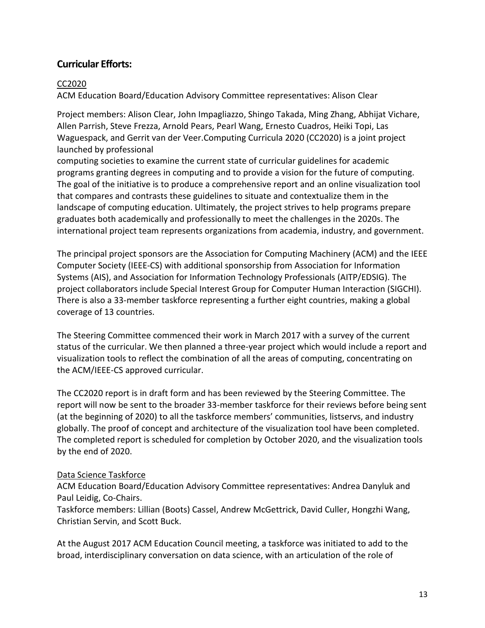### **Curricular Efforts:**

#### CC2020

ACM Education Board/Education Advisory Committee representatives: Alison Clear

Project members: Alison Clear, John Impagliazzo, Shingo Takada, Ming Zhang, Abhijat Vichare, Allen Parrish, Steve Frezza, Arnold Pears, Pearl Wang, Ernesto Cuadros, Heiki Topi, Las Waguespack, and Gerrit van der Veer.Computing Curricula 2020 (CC2020) is a joint project launched by professional

computing societies to examine the current state of curricular guidelines for academic programs granting degrees in computing and to provide a vision for the future of computing. The goal of the initiative is to produce a comprehensive report and an online visualization tool that compares and contrasts these guidelines to situate and contextualize them in the landscape of computing education. Ultimately, the project strives to help programs prepare graduates both academically and professionally to meet the challenges in the 2020s. The international project team represents organizations from academia, industry, and government.

The principal project sponsors are the Association for Computing Machinery (ACM) and the IEEE Computer Society (IEEE-CS) with additional sponsorship from Association for Information Systems (AIS), and Association for Information Technology Professionals (AITP/EDSIG). The project collaborators include Special Interest Group for Computer Human Interaction (SIGCHI). There is also a 33-member taskforce representing a further eight countries, making a global coverage of 13 countries.

The Steering Committee commenced their work in March 2017 with a survey of the current status of the curricular. We then planned a three-year project which would include a report and visualization tools to reflect the combination of all the areas of computing, concentrating on the ACM/IEEE-CS approved curricular.

The CC2020 report is in draft form and has been reviewed by the Steering Committee. The report will now be sent to the broader 33-member taskforce for their reviews before being sent (at the beginning of 2020) to all the taskforce members' communities, listservs, and industry globally. The proof of concept and architecture of the visualization tool have been completed. The completed report is scheduled for completion by October 2020, and the visualization tools by the end of 2020.

#### Data Science Taskforce

ACM Education Board/Education Advisory Committee representatives: Andrea Danyluk and Paul Leidig, Co-Chairs.

Taskforce members: Lillian (Boots) Cassel, Andrew McGettrick, David Culler, Hongzhi Wang, Christian Servin, and Scott Buck.

At the August 2017 ACM Education Council meeting, a taskforce was initiated to add to the broad, interdisciplinary conversation on data science, with an articulation of the role of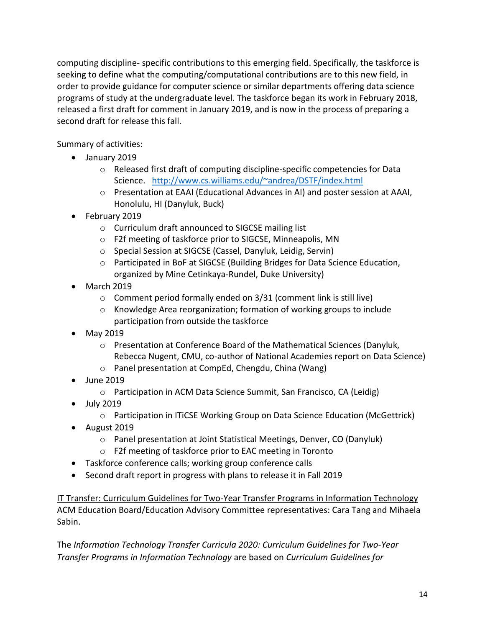computing discipline- specific contributions to this emerging field. Specifically, the taskforce is seeking to define what the computing/computational contributions are to this new field, in order to provide guidance for computer science or similar departments offering data science programs of study at the undergraduate level. The taskforce began its work in February 2018, released a first draft for comment in January 2019, and is now in the process of preparing a second draft for release this fall.

Summary of activities:

- January 2019
	- $\circ$  Released first draft of computing discipline-specific competencies for Data Science. <http://www.cs.williams.edu/~andrea/DSTF/index.html>
	- o Presentation at EAAI (Educational Advances in AI) and poster session at AAAI, Honolulu, HI (Danyluk, Buck)
- February 2019
	- o Curriculum draft announced to SIGCSE mailing list
	- o F2f meeting of taskforce prior to SIGCSE, Minneapolis, MN
	- o Special Session at SIGCSE (Cassel, Danyluk, Leidig, Servin)
	- o Participated in BoF at SIGCSE (Building Bridges for Data Science Education, organized by Mine Cetinkaya-Rundel, Duke University)
- $\bullet$  March 2019
	- o Comment period formally ended on 3/31 (comment link is still live)
	- o Knowledge Area reorganization; formation of working groups to include participation from outside the taskforce
- May 2019
	- o Presentation at Conference Board of the Mathematical Sciences (Danyluk, Rebecca Nugent, CMU, co-author of National Academies report on Data Science)
	- o Panel presentation at CompEd, Chengdu, China (Wang)
- June 2019
	- o Participation in ACM Data Science Summit, San Francisco, CA (Leidig)
- July 2019
	- o Participation in ITiCSE Working Group on Data Science Education (McGettrick)
- August 2019
	- o Panel presentation at Joint Statistical Meetings, Denver, CO (Danyluk)
	- o F2f meeting of taskforce prior to EAC meeting in Toronto
- Taskforce conference calls; working group conference calls
- Second draft report in progress with plans to release it in Fall 2019

IT Transfer: Curriculum Guidelines for Two-Year Transfer Programs in Information Technology ACM Education Board/Education Advisory Committee representatives: Cara Tang and Mihaela Sabin.

The *Information Technology Transfer Curricula 2020: Curriculum Guidelines for Two-Year Transfer Programs in Information Technology* are based on *Curriculum Guidelines for*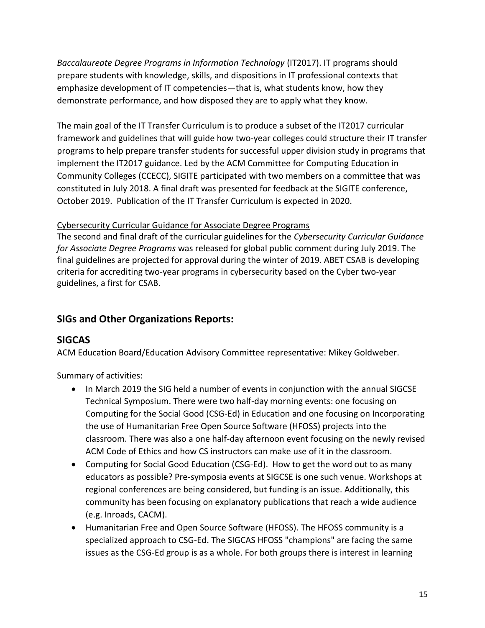*Baccalaureate Degree Programs in Information Technology* (IT2017). IT programs should prepare students with knowledge, skills, and dispositions in IT professional contexts that emphasize development of IT competencies—that is, what students know, how they demonstrate performance, and how disposed they are to apply what they know.

The main goal of the IT Transfer Curriculum is to produce a subset of the IT2017 curricular framework and guidelines that will guide how two-year colleges could structure their IT transfer programs to help prepare transfer students for successful upper division study in programs that implement the IT2017 guidance. Led by the ACM Committee for Computing Education in Community Colleges (CCECC), SIGITE participated with two members on a committee that was constituted in July 2018. A final draft was presented for feedback at the SIGITE conference, October 2019. Publication of the IT Transfer Curriculum is expected in 2020.

### Cybersecurity Curricular Guidance for Associate Degree Programs

The second and final draft of the curricular guidelines for the *Cybersecurity Curricular Guidance for Associate Degree Programs* was released for global public comment during July 2019. The final guidelines are projected for approval during the winter of 2019. ABET CSAB is developing criteria for accrediting two-year programs in cybersecurity based on the Cyber two-year guidelines, a first for CSAB.

## **SIGs and Other Organizations Reports:**

## **SIGCAS**

ACM Education Board/Education Advisory Committee representative: Mikey Goldweber.

Summary of activities:

- In March 2019 the SIG held a number of events in conjunction with the annual SIGCSE Technical Symposium. There were two half-day morning events: one focusing on Computing for the Social Good (CSG-Ed) in Education and one focusing on Incorporating the use of Humanitarian Free Open Source Software (HFOSS) projects into the classroom. There was also a one half-day afternoon event focusing on the newly revised ACM Code of Ethics and how CS instructors can make use of it in the classroom.
- Computing for Social Good Education (CSG-Ed). How to get the word out to as many educators as possible? Pre-symposia events at SIGCSE is one such venue. Workshops at regional conferences are being considered, but funding is an issue. Additionally, this community has been focusing on explanatory publications that reach a wide audience (e.g. Inroads, CACM).
- Humanitarian Free and Open Source Software (HFOSS). The HFOSS community is a specialized approach to CSG-Ed. The SIGCAS HFOSS "champions" are facing the same issues as the CSG-Ed group is as a whole. For both groups there is interest in learning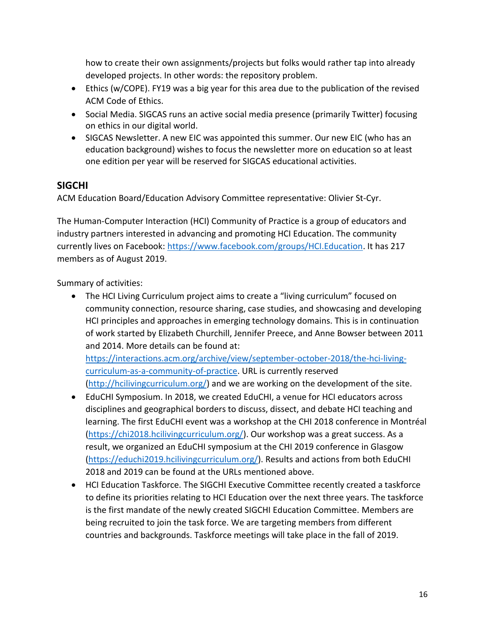how to create their own assignments/projects but folks would rather tap into already developed projects. In other words: the repository problem.

- Ethics (w/COPE). FY19 was a big year for this area due to the publication of the revised ACM Code of Ethics.
- Social Media. SIGCAS runs an active social media presence (primarily Twitter) focusing on ethics in our digital world.
- SIGCAS Newsletter. A new EIC was appointed this summer. Our new EIC (who has an education background) wishes to focus the newsletter more on education so at least one edition per year will be reserved for SIGCAS educational activities.

## **SIGCHI**

ACM Education Board/Education Advisory Committee representative: Olivier St-Cyr.

The Human-Computer Interaction (HCI) Community of Practice is a group of educators and industry partners interested in advancing and promoting HCI Education. The community currently lives on Facebook: [https://www.facebook.com/groups/HCI.Education.](https://www.facebook.com/groups/HCI.Education) It has 217 members as of August 2019.

Summary of activities:

 The HCI Living Curriculum project aims to create a "living curriculum" focused on community connection, resource sharing, case studies, and showcasing and developing HCI principles and approaches in emerging technology domains. This is in continuation of work started by Elizabeth Churchill, Jennifer Preece, and Anne Bowser between 2011 and 2014. More details can be found at:

[https://interactions.acm.org/archive/view/september-october-2018/the-hci-living](https://interactions.acm.org/archive/view/september-october-2018/the-hci-living-curriculum-as-a-community-of-practice)[curriculum-as-a-community-of-practice.](https://interactions.acm.org/archive/view/september-october-2018/the-hci-living-curriculum-as-a-community-of-practice) URL is currently reserved [\(http://hcilivingcurriculum.org/\)](http://hcilivingcurriculum.org/) and we are working on the development of the site.

- EduCHI Symposium. In 2018, we created EduCHI, a venue for HCI educators across disciplines and geographical borders to discuss, dissect, and debate HCI teaching and learning. The first EduCHI event was a workshop at the CHI 2018 conference in Montréal [\(https://chi2018.hcilivingcurriculum.org/\)](https://chi2018.hcilivingcurriculum.org/). Our workshop was a great success. As a result, we organized an EduCHI symposium at the CHI 2019 conference in Glasgow [\(https://educhi2019.hcilivingcurriculum.org/\)](https://educhi2019.hcilivingcurriculum.org/). Results and actions from both EduCHI 2018 and 2019 can be found at the URLs mentioned above.
- HCI Education Taskforce. The SIGCHI Executive Committee recently created a taskforce to define its priorities relating to HCI Education over the next three years. The taskforce is the first mandate of the newly created SIGCHI Education Committee. Members are being recruited to join the task force. We are targeting members from different countries and backgrounds. Taskforce meetings will take place in the fall of 2019.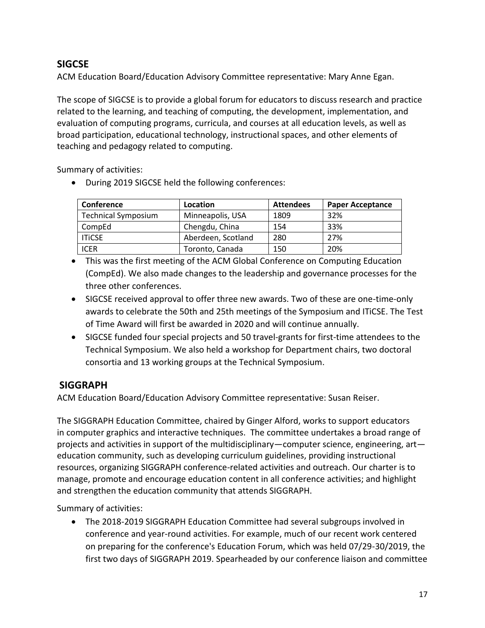## **SIGCSE**

ACM Education Board/Education Advisory Committee representative: Mary Anne Egan.

The scope of SIGCSE is to provide a global forum for educators to discuss research and practice related to the learning, and teaching of computing, the development, implementation, and evaluation of computing programs, curricula, and courses at all education levels, as well as broad participation, educational technology, instructional spaces, and other elements of teaching and pedagogy related to computing.

Summary of activities:

During 2019 SIGCSE held the following conferences:

| Conference                 | Location           | <b>Attendees</b> | <b>Paper Acceptance</b> |
|----------------------------|--------------------|------------------|-------------------------|
| <b>Technical Symposium</b> | Minneapolis, USA   | 1809             | 32%                     |
| CompEd                     | Chengdu, China     | 154              | 33%                     |
| <b>ITICSE</b>              | Aberdeen, Scotland | 280              | 27%                     |
| ICER                       | Toronto, Canada    | 150              | 20%                     |

 This was the first meeting of the ACM Global Conference on Computing Education (CompEd). We also made changes to the leadership and governance processes for the three other conferences.

- SIGCSE received approval to offer three new awards. Two of these are one-time-only awards to celebrate the 50th and 25th meetings of the Symposium and ITiCSE. The Test of Time Award will first be awarded in 2020 and will continue annually.
- SIGCSE funded four special projects and 50 travel-grants for first-time attendees to the Technical Symposium. We also held a workshop for Department chairs, two doctoral consortia and 13 working groups at the Technical Symposium.

## **SIGGRAPH**

ACM Education Board/Education Advisory Committee representative: Susan Reiser.

The SIGGRAPH Education Committee, chaired by Ginger Alford, works to support educators in computer graphics and interactive techniques. The committee undertakes a broad range of projects and activities in support of the multidisciplinary—computer science, engineering, art education community, such as developing curriculum guidelines, providing instructional resources, organizing SIGGRAPH conference-related activities and outreach. Our charter is to manage, promote and encourage education content in all conference activities; and highlight and strengthen the education community that attends SIGGRAPH.

Summary of activities:

 The 2018-2019 SIGGRAPH Education Committee had several subgroups involved in conference and year-round activities. For example, much of our recent work centered on preparing for the conference's Education Forum, which was held 07/29-30/2019, the first two days of SIGGRAPH 2019. Spearheaded by our conference liaison and committee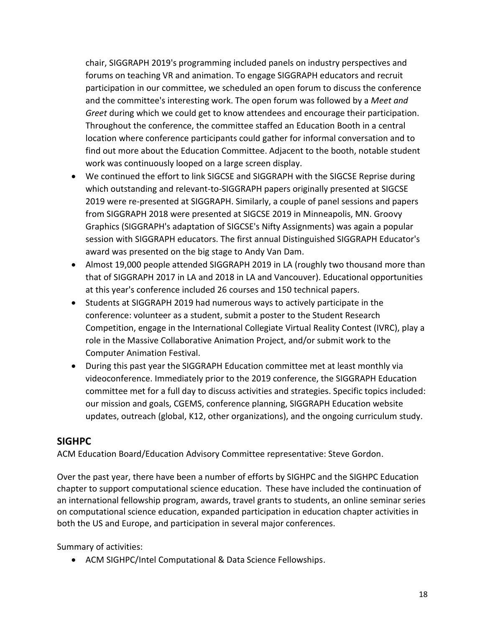chair, SIGGRAPH 2019's programming included panels on industry perspectives and forums on teaching VR and animation. To engage SIGGRAPH educators and recruit participation in our committee, we scheduled an open forum to discuss the conference and the committee's interesting work. The open forum was followed by a *Meet and Greet* during which we could get to know attendees and encourage their participation. Throughout the conference, the committee staffed an Education Booth in a central location where conference participants could gather for informal conversation and to find out more about the Education Committee. Adjacent to the booth, notable student work was continuously looped on a large screen display.

- We continued the effort to link SIGCSE and SIGGRAPH with the SIGCSE Reprise during which outstanding and relevant-to-SIGGRAPH papers originally presented at SIGCSE 2019 were re-presented at SIGGRAPH. Similarly, a couple of panel sessions and papers from SIGGRAPH 2018 were presented at SIGCSE 2019 in Minneapolis, MN. Groovy Graphics (SIGGRAPH's adaptation of SIGCSE's Nifty Assignments) was again a popular session with SIGGRAPH educators. The first annual Distinguished SIGGRAPH Educator's award was presented on the big stage to Andy Van Dam.
- Almost 19,000 people attended SIGGRAPH 2019 in LA (roughly two thousand more than that of SIGGRAPH 2017 in LA and 2018 in LA and Vancouver). Educational opportunities at this year's conference included 26 courses and 150 technical papers.
- Students at SIGGRAPH 2019 had numerous ways to actively participate in the conference: volunteer as a student, submit a poster to the Student Research Competition, engage in the International Collegiate Virtual Reality Contest (IVRC), play a role in the Massive Collaborative Animation Project, and/or submit work to the Computer Animation Festival.
- During this past year the SIGGRAPH Education committee met at least monthly via videoconference. Immediately prior to the 2019 conference, the SIGGRAPH Education committee met for a full day to discuss activities and strategies. Specific topics included: our mission and goals, CGEMS, conference planning, SIGGRAPH Education website updates, outreach (global, K12, other organizations), and the ongoing curriculum study.

### **SIGHPC**

ACM Education Board/Education Advisory Committee representative: Steve Gordon.

Over the past year, there have been a number of efforts by SIGHPC and the SIGHPC Education chapter to support computational science education. These have included the continuation of an international fellowship program, awards, travel grants to students, an online seminar series on computational science education, expanded participation in education chapter activities in both the US and Europe, and participation in several major conferences.

Summary of activities:

ACM SIGHPC/Intel Computational & Data Science Fellowships.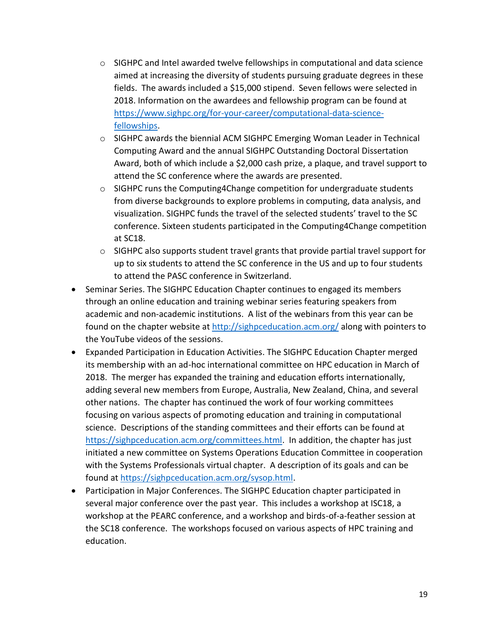- $\circ$  SIGHPC and Intel awarded twelve fellowships in computational and data science aimed at increasing the diversity of students pursuing graduate degrees in these fields. The awards included a \$15,000 stipend. Seven fellows were selected in 2018. Information on the awardees and fellowship program can be found at [https://www.sighpc.org/for-your-career/computational-data-science](https://www.sighpc.org/for-your-career/computational-data-science-fellowships)[fellowships.](https://www.sighpc.org/for-your-career/computational-data-science-fellowships)
- o SIGHPC awards the biennial ACM SIGHPC Emerging Woman Leader in Technical Computing Award and the annual SIGHPC Outstanding Doctoral Dissertation Award, both of which include a \$2,000 cash prize, a plaque, and travel support to attend the SC conference where the awards are presented.
- $\circ$  SIGHPC runs the Computing4Change competition for undergraduate students from diverse backgrounds to explore problems in computing, data analysis, and visualization. SIGHPC funds the travel of the selected students' travel to the SC conference. Sixteen students participated in the Computing4Change competition at SC18.
- $\circ$  SIGHPC also supports student travel grants that provide partial travel support for up to six students to attend the SC conference in the US and up to four students to attend the PASC conference in Switzerland.
- Seminar Series. The SIGHPC Education Chapter continues to engaged its members through an online education and training webinar series featuring speakers from academic and non-academic institutions. A list of the webinars from this year can be found on the chapter website at <http://sighpceducation.acm.org/> along with pointers to the YouTube videos of the sessions.
- Expanded Participation in Education Activities. The SIGHPC Education Chapter merged its membership with an ad-hoc international committee on HPC education in March of 2018. The merger has expanded the training and education efforts internationally, adding several new members from Europe, Australia, New Zealand, China, and several other nations. The chapter has continued the work of four working committees focusing on various aspects of promoting education and training in computational science. Descriptions of the standing committees and their efforts can be found at [https://sighpceducation.acm.org/committees.html.](https://sighpceducation.acm.org/committees.html) In addition, the chapter has just initiated a new committee on Systems Operations Education Committee in cooperation with the Systems Professionals virtual chapter. A description of its goals and can be found at [https://sighpceducation.acm.org/sysop.html.](https://sighpceducation.acm.org/sysop.html)
- Participation in Major Conferences. The SIGHPC Education chapter participated in several major conference over the past year. This includes a workshop at ISC18, a workshop at the PEARC conference, and a workshop and birds-of-a-feather session at the SC18 conference. The workshops focused on various aspects of HPC training and education.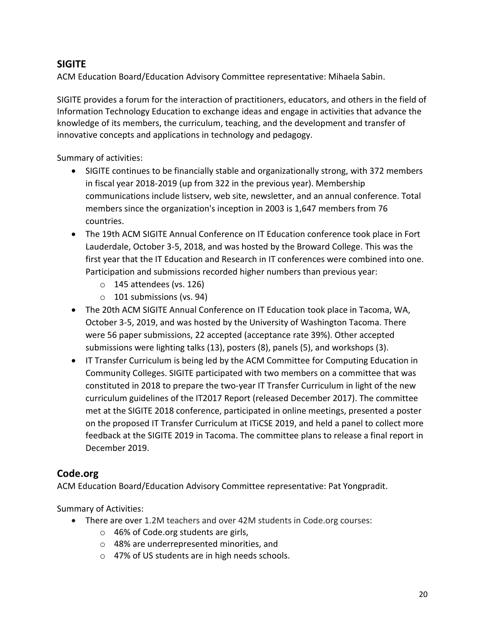## **SIGITE**

ACM Education Board/Education Advisory Committee representative: Mihaela Sabin.

SIGITE provides a forum for the interaction of practitioners, educators, and others in the field of Information Technology Education to exchange ideas and engage in activities that advance the knowledge of its members, the curriculum, teaching, and the development and transfer of innovative concepts and applications in technology and pedagogy.

Summary of activities:

- SIGITE continues to be financially stable and organizationally strong, with 372 members in fiscal year 2018-2019 (up from 322 in the previous year). Membership communications include listserv, web site, newsletter, and an annual conference. Total members since the organization's inception in 2003 is 1,647 members from 76 countries.
- The 19th ACM SIGITE Annual Conference on IT Education conference took place in Fort Lauderdale, October 3-5, 2018, and was hosted by the Broward College. This was the first year that the IT Education and Research in IT conferences were combined into one. Participation and submissions recorded higher numbers than previous year:
	- $\circ$  145 attendees (vs. 126)
	- o 101 submissions (vs. 94)
- The 20th ACM SIGITE Annual Conference on IT Education took place in Tacoma, WA, October 3-5, 2019, and was hosted by the University of Washington Tacoma. There were 56 paper submissions, 22 accepted (acceptance rate 39%). Other accepted submissions were lighting talks (13), posters (8), panels (5), and workshops (3).
- IT Transfer Curriculum is being led by the ACM Committee for Computing Education in Community Colleges. SIGITE participated with two members on a committee that was constituted in 2018 to prepare the two-year IT Transfer Curriculum in light of the new curriculum guidelines of the IT2017 Report (released December 2017). The committee met at the SIGITE 2018 conference, participated in online meetings, presented a poster on the proposed IT Transfer Curriculum at ITiCSE 2019, and held a panel to collect more feedback at the SIGITE 2019 in Tacoma. The committee plans to release a final report in December 2019.

## **Code.org**

ACM Education Board/Education Advisory Committee representative: Pat Yongpradit.

Summary of Activities:

- There are over 1.2M teachers and over 42M students in Code.org courses:
	- o 46% of Code.org students are girls,
	- o 48% are underrepresented minorities, and
	- o 47% of US students are in high needs schools.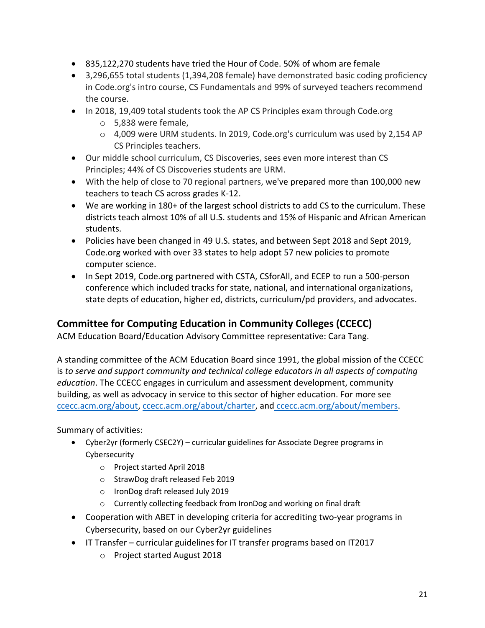- 835,122,270 students have tried the Hour of Code. 50% of whom are female
- 3,296,655 total students (1,394,208 female) have demonstrated basic coding proficiency in Code.org's intro course, CS Fundamentals and 99% of surveyed teachers recommend the course.
- In 2018, 19,409 total students took the AP CS Principles exam through Code.org
	- o 5,838 were female,
	- o 4,009 were URM students. In 2019, Code.org's curriculum was used by 2,154 AP CS Principles teachers.
- Our middle school curriculum, CS Discoveries, sees even more interest than CS Principles; 44% of CS Discoveries students are URM.
- With the help of close to 70 regional partners, we've prepared more than 100,000 new teachers to teach CS across grades K-12.
- We are working in 180+ of the largest school districts to add CS to the curriculum. These districts teach almost 10% of all U.S. students and 15% of Hispanic and African American students.
- Policies have been changed in 49 U.S. states, and between Sept 2018 and Sept 2019, Code.org worked with over 33 states to help adopt 57 new policies to promote computer science.
- In Sept 2019, Code.org partnered with CSTA, CSforAll, and ECEP to run a 500-person conference which included tracks for state, national, and international organizations, state depts of education, higher ed, districts, curriculum/pd providers, and advocates.

## **Committee for Computing Education in Community Colleges (CCECC)**

ACM Education Board/Education Advisory Committee representative: Cara Tang.

A standing committee of the ACM Education Board since 1991, the global mission of the CCECC is *to serve and support community and technical college educators in all aspects of computing education*. The CCECC engages in curriculum and assessment development, community building, as well as advocacy in service to this sector of higher education. For more see [ccecc.acm.org/about,](http://ccecc.acm.org/about) [ccecc.acm.org/about/charter,](http://ccecc.acm.org/about/charter) and [ccecc.acm.org/about/members.](http://ccecc.acm.org/about/members)

Summary of activities:

- Cyber2yr (formerly CSEC2Y) curricular guidelines for Associate Degree programs in Cybersecurity
	- o Project started April 2018
	- o StrawDog draft released Feb 2019
	- o IronDog draft released July 2019
	- o Currently collecting feedback from IronDog and working on final draft
- Cooperation with ABET in developing criteria for accrediting two-year programs in Cybersecurity, based on our Cyber2yr guidelines
- IT Transfer curricular guidelines for IT transfer programs based on IT2017
	- o Project started August 2018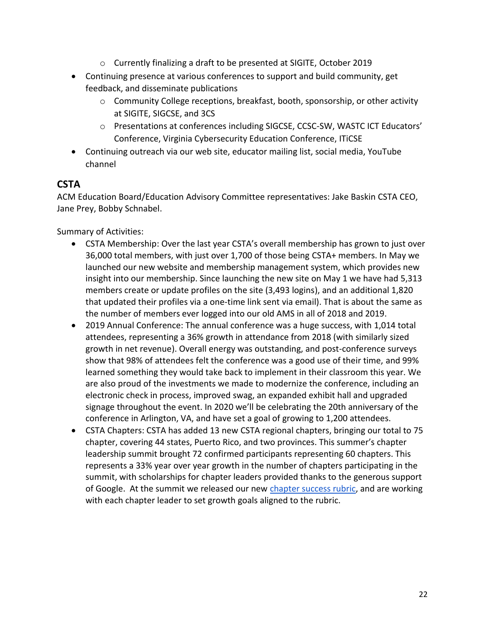- o Currently finalizing a draft to be presented at SIGITE, October 2019
- Continuing presence at various conferences to support and build community, get feedback, and disseminate publications
	- $\circ$  Community College receptions, breakfast, booth, sponsorship, or other activity at SIGITE, SIGCSE, and 3CS
	- o Presentations at conferences including SIGCSE, CCSC-SW, WASTC ICT Educators' Conference, Virginia Cybersecurity Education Conference, ITiCSE
- Continuing outreach via our web site, educator mailing list, social media, YouTube channel

## **CSTA**

ACM Education Board/Education Advisory Committee representatives: Jake Baskin CSTA CEO, Jane Prey, Bobby Schnabel.

Summary of Activities:

- CSTA Membership: Over the last year CSTA's overall membership has grown to just over 36,000 total members, with just over 1,700 of those being CSTA+ members. In May we launched our new website and membership management system, which provides new insight into our membership. Since launching the new site on May 1 we have had 5,313 members create or update profiles on the site (3,493 logins), and an additional 1,820 that updated their profiles via a one-time link sent via email). That is about the same as the number of members ever logged into our old AMS in all of 2018 and 2019.
- 2019 Annual Conference: The annual conference was a huge success, with 1,014 total attendees, representing a 36% growth in attendance from 2018 (with similarly sized growth in net revenue). Overall energy was outstanding, and post-conference surveys show that 98% of attendees felt the conference was a good use of their time, and 99% learned something they would take back to implement in their classroom this year. We are also proud of the investments we made to modernize the conference, including an electronic check in process, improved swag, an expanded exhibit hall and upgraded signage throughout the event. In 2020 we'll be celebrating the 20th anniversary of the conference in Arlington, VA, and have set a goal of growing to 1,200 attendees.
- CSTA Chapters: CSTA has added 13 new CSTA regional chapters, bringing our total to 75 chapter, covering 44 states, Puerto Rico, and two provinces. This summer's chapter leadership summit brought 72 confirmed participants representing 60 chapters. This represents a 33% year over year growth in the number of chapters participating in the summit, with scholarships for chapter leaders provided thanks to the generous support of Google. At the summit we released our new [chapter success rubric,](https://docs.google.com/document/d/1xanKhGbaHANsxP3V2HbO-3B6Aut-m8-rayFy_xLPteo/edit) and are working with each chapter leader to set growth goals aligned to the rubric.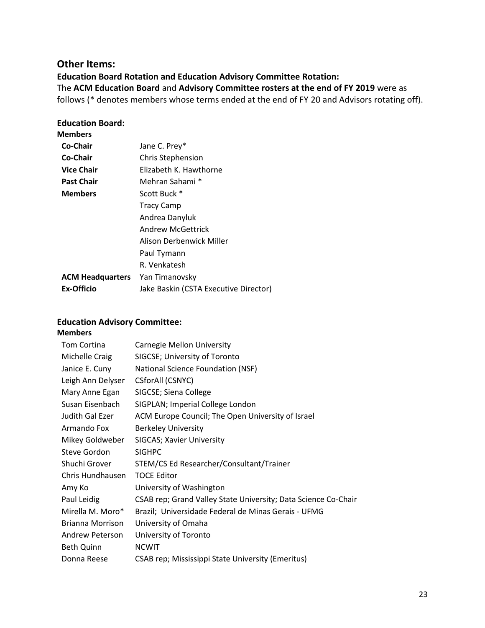#### **Other Items:**

**Education Board Rotation and Education Advisory Committee Rotation:** The **ACM Education Board** and **Advisory Committee rosters at the end of FY 2019** were as follows (\* denotes members whose terms ended at the end of FY 20 and Advisors rotating off).

#### **Education Board:**

|--|

| Co-Chair                | Jane C. Prey*                         |
|-------------------------|---------------------------------------|
| Co-Chair                | <b>Chris Stephension</b>              |
| <b>Vice Chair</b>       | Elizabeth K. Hawthorne                |
| <b>Past Chair</b>       | Mehran Sahami *                       |
| <b>Members</b>          | Scott Buck *                          |
|                         | <b>Tracy Camp</b>                     |
|                         | Andrea Danyluk                        |
|                         | Andrew McGettrick                     |
|                         | Alison Derbenwick Miller              |
|                         | Paul Tymann                           |
|                         | R. Venkatesh                          |
| <b>ACM Headquarters</b> | Yan Timanovsky                        |
| <b>Ex-Officio</b>       | Jake Baskin (CSTA Executive Director) |
|                         |                                       |

#### **Education Advisory Committee:**

#### **Members**

| Tom Cortina       | Carnegie Mellon University                                     |
|-------------------|----------------------------------------------------------------|
| Michelle Craig    | SIGCSE; University of Toronto                                  |
| Janice E. Cuny    | National Science Foundation (NSF)                              |
| Leigh Ann Delyser | CSforAll (CSNYC)                                               |
| Mary Anne Egan    | SIGCSE; Siena College                                          |
| Susan Eisenbach   | SIGPLAN; Imperial College London                               |
| Judith Gal Ezer   | ACM Europe Council; The Open University of Israel              |
| Armando Fox       | <b>Berkeley University</b>                                     |
| Mikey Goldweber   | SIGCAS; Xavier University                                      |
| Steve Gordon      | <b>SIGHPC</b>                                                  |
| Shuchi Grover     | STEM/CS Ed Researcher/Consultant/Trainer                       |
| Chris Hundhausen  | <b>TOCE Editor</b>                                             |
| Amy Ko            | University of Washington                                       |
| Paul Leidig       | CSAB rep; Grand Valley State University; Data Science Co-Chair |
| Mirella M. Moro*  | Brazil; Universidade Federal de Minas Gerais - UFMG            |
| Brianna Morrison  | University of Omaha                                            |
| Andrew Peterson   | University of Toronto                                          |
| <b>Beth Quinn</b> | <b>NCWIT</b>                                                   |
| Donna Reese       | CSAB rep; Mississippi State University (Emeritus)              |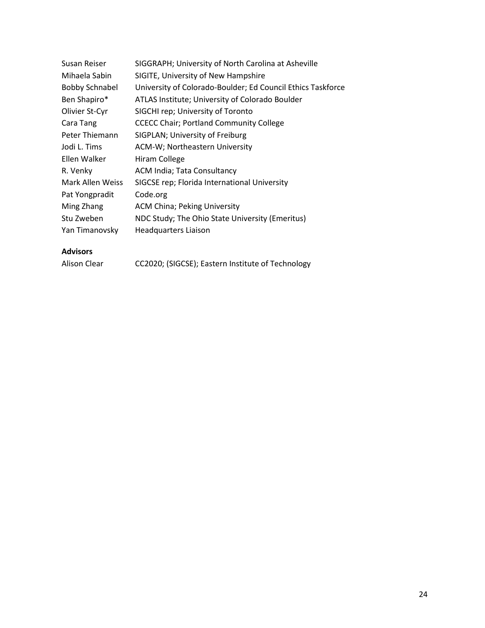| Susan Reiser          | SIGGRAPH; University of North Carolina at Asheville         |
|-----------------------|-------------------------------------------------------------|
| Mihaela Sabin         | SIGITE, University of New Hampshire                         |
| <b>Bobby Schnabel</b> | University of Colorado-Boulder; Ed Council Ethics Taskforce |
| Ben Shapiro*          | ATLAS Institute; University of Colorado Boulder             |
| Olivier St-Cyr        | SIGCHI rep; University of Toronto                           |
| Cara Tang             | <b>CCECC Chair; Portland Community College</b>              |
| Peter Thiemann        | SIGPLAN; University of Freiburg                             |
| Jodi L. Tims          | ACM-W; Northeastern University                              |
| Ellen Walker          | Hiram College                                               |
| R. Venky              | <b>ACM India; Tata Consultancy</b>                          |
| Mark Allen Weiss      | SIGCSE rep; Florida International University                |
| Pat Yongpradit        | Code.org                                                    |
| Ming Zhang            | <b>ACM China; Peking University</b>                         |
| Stu Zweben            | NDC Study; The Ohio State University (Emeritus)             |
| Yan Timanovsky        | <b>Headquarters Liaison</b>                                 |

### **Advisors**

Alison Clear CC2020; (SIGCSE); Eastern Institute of Technology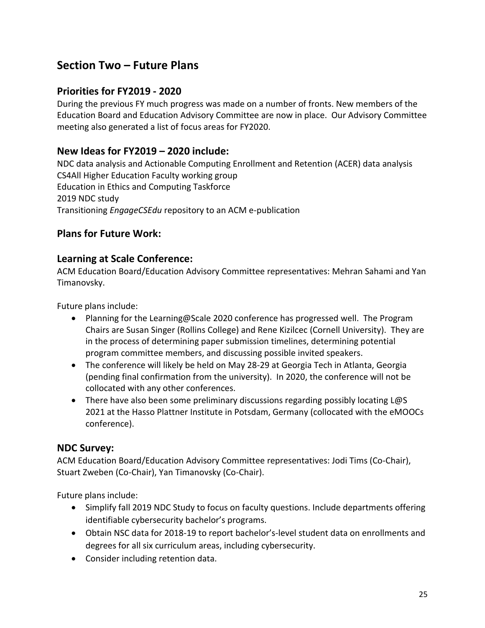# **Section Two – Future Plans**

## **Priorities for FY2019 - 2020**

During the previous FY much progress was made on a number of fronts. New members of the Education Board and Education Advisory Committee are now in place. Our Advisory Committee meeting also generated a list of focus areas for FY2020.

### **New Ideas for FY2019 – 2020 include:**

NDC data analysis and Actionable Computing Enrollment and Retention (ACER) data analysis CS4All Higher Education Faculty working group Education in Ethics and Computing Taskforce 2019 NDC study Transitioning *EngageCSEdu* repository to an ACM e-publication

### **Plans for Future Work:**

### **Learning at Scale Conference:**

ACM Education Board/Education Advisory Committee representatives: Mehran Sahami and Yan Timanovsky.

Future plans include:

- Planning for the Learning@Scale 2020 conference has progressed well. The Program Chairs are Susan Singer (Rollins College) and Rene Kizilcec (Cornell University). They are in the process of determining paper submission timelines, determining potential program committee members, and discussing possible invited speakers.
- The conference will likely be held on May 28-29 at Georgia Tech in Atlanta, Georgia (pending final confirmation from the university). In 2020, the conference will not be collocated with any other conferences.
- There have also been some preliminary discussions regarding possibly locating L@S 2021 at the Hasso Plattner Institute in Potsdam, Germany (collocated with the eMOOCs conference).

### **NDC Survey:**

ACM Education Board/Education Advisory Committee representatives: Jodi Tims (Co-Chair), Stuart Zweben (Co-Chair), Yan Timanovsky (Co-Chair).

- Simplify fall 2019 NDC Study to focus on faculty questions. Include departments offering identifiable cybersecurity bachelor's programs.
- Obtain NSC data for 2018-19 to report bachelor's-level student data on enrollments and degrees for all six curriculum areas, including cybersecurity.
- Consider including retention data.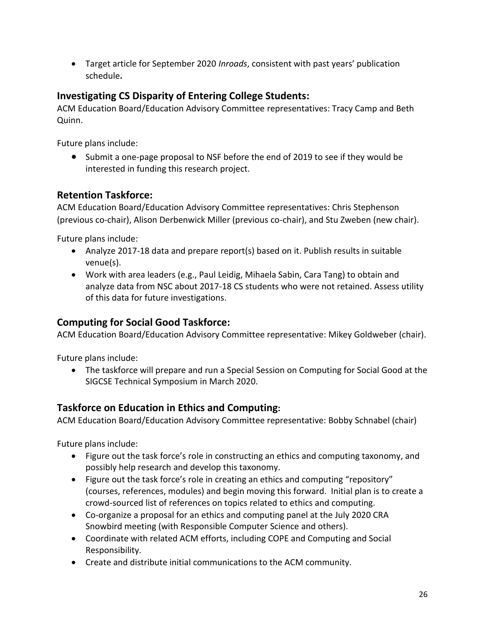Target article for September 2020 *Inroads*, consistent with past years' publication schedule**.**

## **Investigating CS Disparity of Entering College Students:**

ACM Education Board/Education Advisory Committee representatives: Tracy Camp and Beth Quinn.

Future plans include:

• Submit a one-page proposal to NSF before the end of 2019 to see if they would be interested in funding this research project.

### **Retention Taskforce:**

ACM Education Board/Education Advisory Committee representatives: Chris Stephenson (previous co-chair), Alison Derbenwick Miller (previous co-chair), and Stu Zweben (new chair).

Future plans include:

- Analyze 2017-18 data and prepare report(s) based on it. Publish results in suitable venue(s).
- Work with area leaders (e.g., Paul Leidig, Mihaela Sabin, Cara Tang) to obtain and analyze data from NSC about 2017-18 CS students who were not retained. Assess utility of this data for future investigations.

## **Computing for Social Good Taskforce:**

ACM Education Board/Education Advisory Committee representative: Mikey Goldweber (chair).

Future plans include:

 The taskforce will prepare and run a Special Session on Computing for Social Good at the SIGCSE Technical Symposium in March 2020.

## **Taskforce on Education in Ethics and Computing:**

ACM Education Board/Education Advisory Committee representative: Bobby Schnabel (chair)

- Figure out the task force's role in constructing an ethics and computing taxonomy, and possibly help research and develop this taxonomy.
- Figure out the task force's role in creating an ethics and computing "repository" (courses, references, modules) and begin moving this forward. Initial plan is to create a crowd-sourced list of references on topics related to ethics and computing.
- Co-organize a proposal for an ethics and computing panel at the July 2020 CRA Snowbird meeting (with Responsible Computer Science and others).
- Coordinate with related ACM efforts, including COPE and Computing and Social Responsibility.
- Create and distribute initial communications to the ACM community.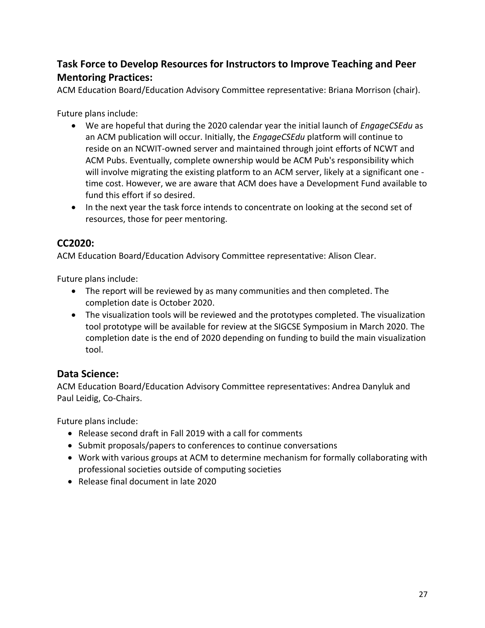## **Task Force to Develop Resources for Instructors to Improve Teaching and Peer Mentoring Practices:**

ACM Education Board/Education Advisory Committee representative: Briana Morrison (chair).

Future plans include:

- We are hopeful that during the 2020 calendar year the initial launch of *EngageCSEdu* as an ACM publication will occur. Initially, the *EngageCSEdu* platform will continue to reside on an NCWIT-owned server and maintained through joint efforts of NCWT and ACM Pubs. Eventually, complete ownership would be ACM Pub's responsibility which will involve migrating the existing platform to an ACM server, likely at a significant one time cost. However, we are aware that ACM does have a Development Fund available to fund this effort if so desired.
- In the next year the task force intends to concentrate on looking at the second set of resources, those for peer mentoring.

## **CC2020:**

ACM Education Board/Education Advisory Committee representative: Alison Clear.

Future plans include:

- The report will be reviewed by as many communities and then completed. The completion date is October 2020.
- The visualization tools will be reviewed and the prototypes completed. The visualization tool prototype will be available for review at the SIGCSE Symposium in March 2020. The completion date is the end of 2020 depending on funding to build the main visualization tool.

## **Data Science:**

ACM Education Board/Education Advisory Committee representatives: Andrea Danyluk and Paul Leidig, Co-Chairs.

- Release second draft in Fall 2019 with a call for comments
- Submit proposals/papers to conferences to continue conversations
- Work with various groups at ACM to determine mechanism for formally collaborating with professional societies outside of computing societies
- Release final document in late 2020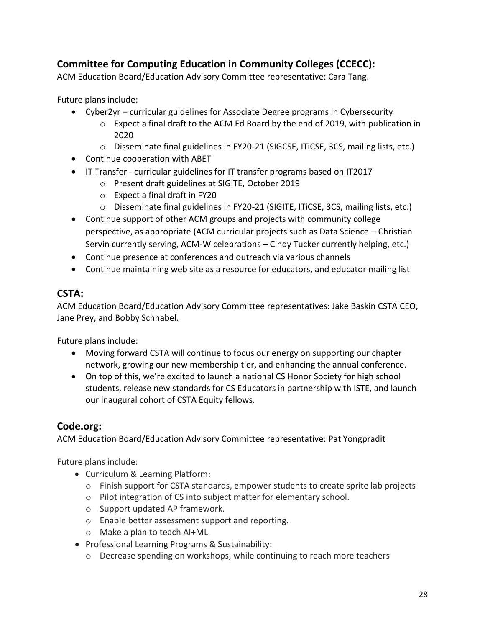## **Committee for Computing Education in Community Colleges (CCECC):**

ACM Education Board/Education Advisory Committee representative: Cara Tang.

Future plans include:

- Cyber2yr curricular guidelines for Associate Degree programs in Cybersecurity
	- $\circ$  Expect a final draft to the ACM Ed Board by the end of 2019, with publication in 2020
	- o Disseminate final guidelines in FY20-21 (SIGCSE, ITiCSE, 3CS, mailing lists, etc.)
- Continue cooperation with ABET
- IT Transfer curricular guidelines for IT transfer programs based on IT2017
	- o Present draft guidelines at SIGITE, October 2019
	- o Expect a final draft in FY20
	- $\circ$  Disseminate final guidelines in FY20-21 (SIGITE, ITiCSE, 3CS, mailing lists, etc.)
- Continue support of other ACM groups and projects with community college perspective, as appropriate (ACM curricular projects such as Data Science – Christian Servin currently serving, ACM-W celebrations – Cindy Tucker currently helping, etc.)
- Continue presence at conferences and outreach via various channels
- Continue maintaining web site as a resource for educators, and educator mailing list

## **CSTA:**

ACM Education Board/Education Advisory Committee representatives: Jake Baskin CSTA CEO, Jane Prey, and Bobby Schnabel.

Future plans include:

- Moving forward CSTA will continue to focus our energy on supporting our chapter network, growing our new membership tier, and enhancing the annual conference.
- On top of this, we're excited to launch a national CS Honor Society for high school students, release new standards for CS Educators in partnership with ISTE, and launch our inaugural cohort of CSTA Equity fellows.

## **Code.org:**

ACM Education Board/Education Advisory Committee representative: Pat Yongpradit

- Curriculum & Learning Platform:
	- $\circ$  Finish support for CSTA standards, empower students to create sprite lab projects
	- o Pilot integration of CS into subject matter for elementary school.
	- o Support updated AP framework.
	- o Enable better assessment support and reporting.
	- o Make a plan to teach AI+ML
- Professional Learning Programs & Sustainability:
	- $\circ$  Decrease spending on workshops, while continuing to reach more teachers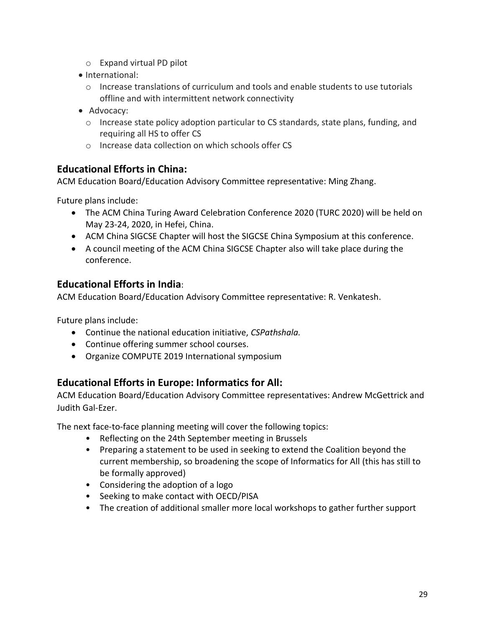- o Expand virtual PD pilot
- International:
	- o Increase translations of curriculum and tools and enable students to use tutorials offline and with intermittent network connectivity
- Advocacy:
	- $\circ$  Increase state policy adoption particular to CS standards, state plans, funding, and requiring all HS to offer CS
	- o Increase data collection on which schools offer CS

### **Educational Efforts in China:**

ACM Education Board/Education Advisory Committee representative: Ming Zhang.

Future plans include:

- The ACM China Turing Award Celebration Conference 2020 (TURC 2020) will be held on May 23-24, 2020, in Hefei, China.
- ACM China SIGCSE Chapter will host the SIGCSE China Symposium at this conference.
- A council meeting of the ACM China SIGCSE Chapter also will take place during the conference.

### **Educational Efforts in India**:

ACM Education Board/Education Advisory Committee representative: R. Venkatesh.

Future plans include:

- Continue the national education initiative, *CSPathshala.*
- Continue offering summer school courses.
- Organize COMPUTE 2019 International symposium

### **Educational Efforts in Europe: Informatics for All:**

ACM Education Board/Education Advisory Committee representatives: Andrew McGettrick and Judith Gal-Ezer.

The next face-to-face planning meeting will cover the following topics:

- Reflecting on the 24th September meeting in Brussels
- Preparing a statement to be used in seeking to extend the Coalition beyond the current membership, so broadening the scope of Informatics for All (this has still to be formally approved)
- Considering the adoption of a logo
- Seeking to make contact with OECD/PISA
- The creation of additional smaller more local workshops to gather further support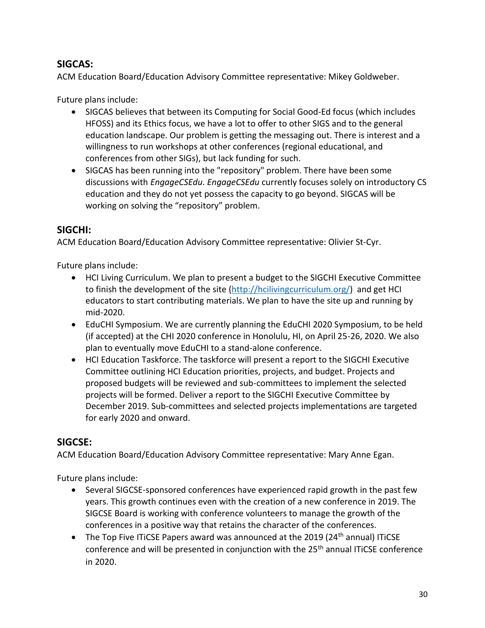## **SIGCAS:**

ACM Education Board/Education Advisory Committee representative: Mikey Goldweber.

Future plans include:

- SIGCAS believes that between its Computing for Social Good-Ed focus (which includes HFOSS) and its Ethics focus, we have a lot to offer to other SIGS and to the general education landscape. Our problem is getting the messaging out. There is interest and a willingness to run workshops at other conferences (regional educational, and conferences from other SIGs), but lack funding for such.
- SIGCAS has been running into the "repository" problem. There have been some discussions with *EngageCSEdu*. *EngageCSEdu* currently focuses solely on introductory CS education and they do not yet possess the capacity to go beyond. SIGCAS will be working on solving the "repository" problem.

### **SIGCHI:**

ACM Education Board/Education Advisory Committee representative: Olivier St-Cyr.

Future plans include:

- HCI Living Curriculum. We plan to present a budget to the SIGCHI Executive Committee to finish the development of the site [\(http://hcilivingcurriculum.org/\)](http://hcilivingcurriculum.org/) and get HCI educators to start contributing materials. We plan to have the site up and running by mid-2020.
- EduCHI Symposium. We are currently planning the EduCHI 2020 Symposium, to be held (if accepted) at the CHI 2020 conference in Honolulu, HI, on April 25-26, 2020. We also plan to eventually move EduCHI to a stand-alone conference.
- HCI Education Taskforce. The taskforce will present a report to the SIGCHI Executive Committee outlining HCI Education priorities, projects, and budget. Projects and proposed budgets will be reviewed and sub-committees to implement the selected projects will be formed. Deliver a report to the SIGCHI Executive Committee by December 2019. Sub-committees and selected projects implementations are targeted for early 2020 and onward.

### **SIGCSE:**

ACM Education Board/Education Advisory Committee representative: Mary Anne Egan.

- Several SIGCSE-sponsored conferences have experienced rapid growth in the past few years. This growth continues even with the creation of a new conference in 2019. The SIGCSE Board is working with conference volunteers to manage the growth of the conferences in a positive way that retains the character of the conferences.
- The Top Five ITICSE Papers award was announced at the 2019 (24<sup>th</sup> annual) ITICSE conference and will be presented in conjunction with the 25<sup>th</sup> annual ITiCSE conference in 2020.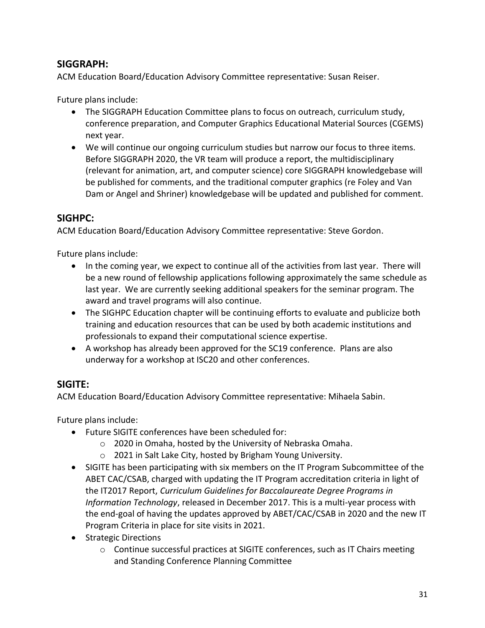## **SIGGRAPH:**

ACM Education Board/Education Advisory Committee representative: Susan Reiser.

Future plans include:

- The SIGGRAPH Education Committee plans to focus on outreach, curriculum study, conference preparation, and Computer Graphics Educational Material Sources (CGEMS) next year.
- We will continue our ongoing curriculum studies but narrow our focus to three items. Before SIGGRAPH 2020, the VR team will produce a report, the multidisciplinary (relevant for animation, art, and computer science) core SIGGRAPH knowledgebase will be published for comments, and the traditional computer graphics (re Foley and Van Dam or Angel and Shriner) knowledgebase will be updated and published for comment.

### **SIGHPC:**

ACM Education Board/Education Advisory Committee representative: Steve Gordon.

Future plans include:

- In the coming year, we expect to continue all of the activities from last year. There will be a new round of fellowship applications following approximately the same schedule as last year. We are currently seeking additional speakers for the seminar program. The award and travel programs will also continue.
- The SIGHPC Education chapter will be continuing efforts to evaluate and publicize both training and education resources that can be used by both academic institutions and professionals to expand their computational science expertise.
- A workshop has already been approved for the SC19 conference. Plans are also underway for a workshop at ISC20 and other conferences.

## **SIGITE:**

ACM Education Board/Education Advisory Committee representative: Mihaela Sabin.

- Future SIGITE conferences have been scheduled for:
	- o 2020 in Omaha, hosted by the University of Nebraska Omaha.
	- o 2021 in Salt Lake City, hosted by Brigham Young University.
- SIGITE has been participating with six members on the IT Program Subcommittee of the ABET CAC/CSAB, charged with updating the IT Program accreditation criteria in light of the IT2017 Report, *Curriculum Guidelines for Baccalaureate Degree Programs in Information Technology*, released in December 2017. This is a multi-year process with the end-goal of having the updates approved by ABET/CAC/CSAB in 2020 and the new IT Program Criteria in place for site visits in 2021.
- Strategic Directions
	- o Continue successful practices at SIGITE conferences, such as IT Chairs meeting and Standing Conference Planning Committee